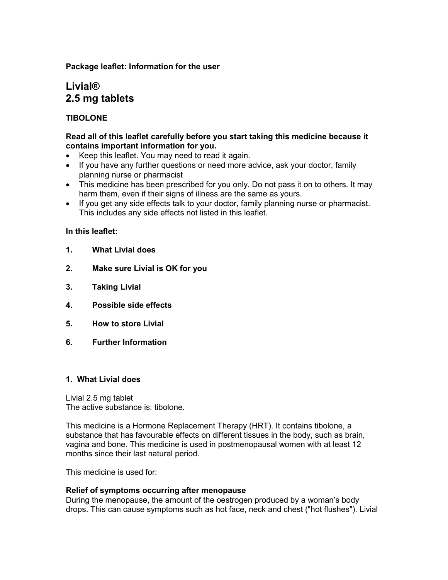#### **Package leaflet: Information for the user**

# **Livial® 2.5 mg tablets**

## **TIBOLONE**

#### **Read all of this leaflet carefully before you start taking this medicine because it contains important information for you.**

- Keep this leaflet. You may need to read it again.
- If you have any further questions or need more advice, ask your doctor, family planning nurse or pharmacist
- This medicine has been prescribed for you only. Do not pass it on to others. It may harm them, even if their signs of illness are the same as yours.
- If you get any side effects talk to your doctor, family planning nurse or pharmacist. This includes any side effects not listed in this leaflet.

### **In this leaflet:**

- **1. What Livial does**
- **2. Make sure Livial is OK for you**
- **3. Taking Livial**
- **4. Possible side effects**
- **5. How to store Livial**
- **6. Further Information**

#### **1. What Livial does**

Livial 2.5 mg tablet The active substance is: tibolone.

This medicine is a Hormone Replacement Therapy (HRT). It contains tibolone, a substance that has favourable effects on different tissues in the body, such as brain, vagina and bone. This medicine is used in postmenopausal women with at least 12 months since their last natural period.

This medicine is used for:

#### **Relief of symptoms occurring after menopause**

During the menopause, the amount of the oestrogen produced by a woman's body drops. This can cause symptoms such as hot face, neck and chest ("hot flushes"). Livial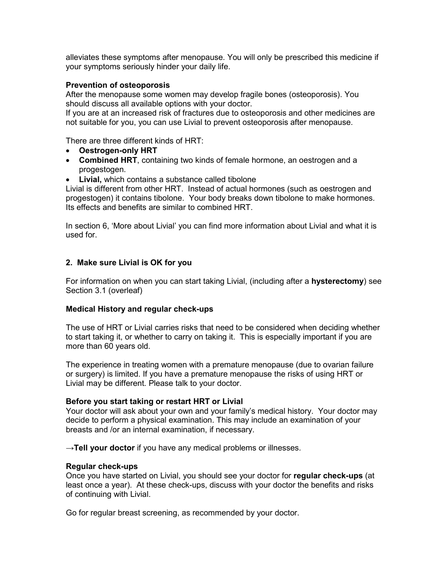alleviates these symptoms after menopause. You will only be prescribed this medicine if your symptoms seriously hinder your daily life.

#### **Prevention of osteoporosis**

After the menopause some women may develop fragile bones (osteoporosis). You should discuss all available options with your doctor.

If you are at an increased risk of fractures due to osteoporosis and other medicines are not suitable for you, you can use Livial to prevent osteoporosis after menopause.

There are three different kinds of HRT:

- **Oestrogen-only HRT**
- **Combined HRT**, containing two kinds of female hormone, an oestrogen and a progestogen.
- **Livial,** which contains a substance called tibolone

Livial is different from other HRT. Instead of actual hormones (such as oestrogen and progestogen) it contains tibolone. Your body breaks down tibolone to make hormones. Its effects and benefits are similar to combined HRT.

In section 6, 'More about Livial' you can find more information about Livial and what it is used for.

### **2. Make sure Livial is OK for you**

For information on when you can start taking Livial, (including after a **hysterectomy**) see Section 3.1 (overleaf)

#### **Medical History and regular check-ups**

The use of HRT or Livial carries risks that need to be considered when deciding whether to start taking it, or whether to carry on taking it. This is especially important if you are more than 60 years old.

The experience in treating women with a premature menopause (due to ovarian failure or surgery) is limited. If you have a premature menopause the risks of using HRT or Livial may be different. Please talk to your doctor.

#### **Before you start taking or restart HRT or Livial**

Your doctor will ask about your own and your family's medical history. Your doctor may decide to perform a physical examination. This may include an examination of your breasts and /or an internal examination, if necessary.

**→Tell your doctor** if you have any medical problems or illnesses.

#### **Regular check-ups**

Once you have started on Livial, you should see your doctor for **regular check-ups** (at least once a year). At these check-ups, discuss with your doctor the benefits and risks of continuing with Livial.

Go for regular breast screening, as recommended by your doctor.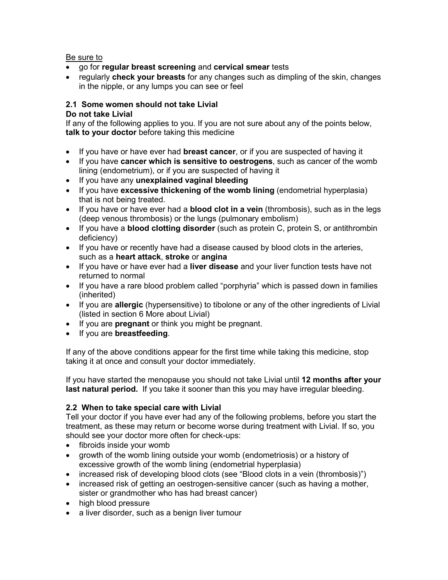### Be sure to

- go for **regular breast screening** and **cervical smear** tests
- regularly **check your breasts** for any changes such as dimpling of the skin, changes in the nipple, or any lumps you can see or feel

## **2.1 Some women should not take Livial**

### **Do not take Livial**

If any of the following applies to you. If you are not sure about any of the points below, **talk to your doctor** before taking this medicine

- If you have or have ever had **breast cancer**, or if you are suspected of having it
- If you have **cancer which is sensitive to oestrogens**, such as cancer of the womb lining (endometrium), or if you are suspected of having it
- If you have any **unexplained vaginal bleeding**
- If you have **excessive thickening of the womb lining** (endometrial hyperplasia) that is not being treated.
- If you have or have ever had a **blood clot in a vein** (thrombosis), such as in the legs (deep venous thrombosis) or the lungs (pulmonary embolism)
- If you have a **blood clotting disorder** (such as protein C, protein S, or antithrombin deficiency)
- If you have or recently have had a disease caused by blood clots in the arteries, such as a **heart attack**, **stroke** or **angina**
- If you have or have ever had a **liver disease** and your liver function tests have not returned to normal
- If you have a rare blood problem called "porphyria" which is passed down in families (inherited)
- If you are **allergic** (hypersensitive) to tibolone or any of the other ingredients of Livial (listed in section 6 More about Livial)
- If you are **pregnant** or think you might be pregnant.
- If you are **breastfeeding**.

If any of the above conditions appear for the first time while taking this medicine, stop taking it at once and consult your doctor immediately.

If you have started the menopause you should not take Livial until **12 months after your last natural period.** If you take it sooner than this you may have irregular bleeding.

## **2.2 When to take special care with Livial**

Tell your doctor if you have ever had any of the following problems, before you start the treatment, as these may return or become worse during treatment with Livial. If so, you should see your doctor more often for check-ups:

- fibroids inside your womb
- growth of the womb lining outside your womb (endometriosis) or a history of excessive growth of the womb lining (endometrial hyperplasia)
- increased risk of developing blood clots (see "Blood clots in a vein (thrombosis)")
- increased risk of getting an oestrogen-sensitive cancer (such as having a mother, sister or grandmother who has had breast cancer)
- high blood pressure
- a liver disorder, such as a benign liver tumour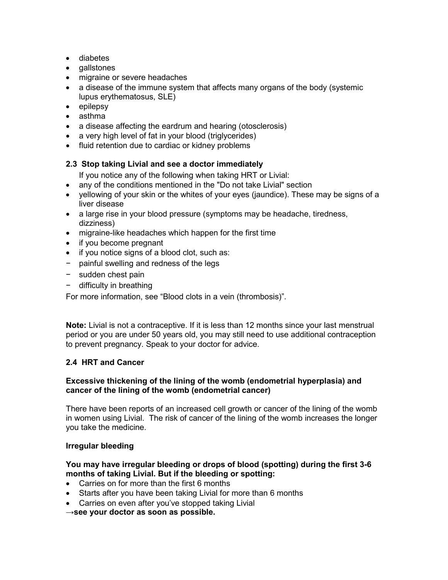- diabetes
- gallstones
- migraine or severe headaches
- a disease of the immune system that affects many organs of the body (systemic lupus erythematosus, SLE)
- epilepsy
- asthma
- a disease affecting the eardrum and hearing (otosclerosis)
- a very high level of fat in your blood (triglycerides)
- fluid retention due to cardiac or kidney problems

## **2.3 Stop taking Livial and see a doctor immediately**

- If you notice any of the following when taking HRT or Livial:
- any of the conditions mentioned in the "Do not take Livial" section
- yellowing of your skin or the whites of your eyes (jaundice). These may be signs of a liver disease
- a large rise in your blood pressure (symptoms may be headache, tiredness, dizziness)
- migraine-like headaches which happen for the first time
- if you become pregnant
- if you notice signs of a blood clot, such as:
- − painful swelling and redness of the legs
- − sudden chest pain
- − difficulty in breathing

For more information, see "Blood clots in a vein (thrombosis)".

**Note:** Livial is not a contraceptive. If it is less than 12 months since your last menstrual period or you are under 50 years old, you may still need to use additional contraception to prevent pregnancy. Speak to your doctor for advice.

## **2.4 HRT and Cancer**

## **Excessive thickening of the lining of the womb (endometrial hyperplasia) and cancer of the lining of the womb (endometrial cancer)**

There have been reports of an increased cell growth or cancer of the lining of the womb in women using Livial. The risk of cancer of the lining of the womb increases the longer you take the medicine.

## **Irregular bleeding**

## **You may have irregular bleeding or drops of blood (spotting) during the first 3-6 months of taking Livial. But if the bleeding or spotting:**

- Carries on for more than the first 6 months
- Starts after you have been taking Livial for more than 6 months
- Carries on even after you've stopped taking Livial
- **→see your doctor as soon as possible.**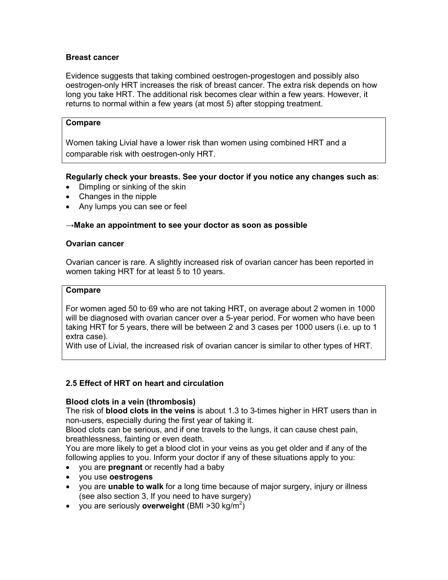### **Breast cancer**

Evidence suggests that taking combined oestrogen-progestogen and possibly also oestrogen-only HRT increases the risk of breast cancer. The extra risk depends on how long you take HRT. The additional risk becomes clear within a few years. However, it returns to normal within a few years (at most 5) after stopping treatment.

#### **Compare**

Women taking Livial have a lower risk than women using combined HRT and a comparable risk with oestrogen-only HRT.

**Regularly check your breasts. See your doctor if you notice any changes such as**:

- Dimpling or sinking of the skin
- Changes in the nipple
- Any lumps you can see or feel

### **→Make an appointment to see your doctor as soon as possible**

#### **Ovarian cancer**

Ovarian cancer is rare. A slightly increased risk of ovarian cancer has been reported in women taking HRT for at least 5 to 10 years.

#### **Compare**

For women aged 50 to 69 who are not taking HRT, on average about 2 women in 1000 will be diagnosed with ovarian cancer over a 5-year period. For women who have been taking HRT for 5 years, there will be between 2 and 3 cases per 1000 users (i.e. up to 1 extra case).

With use of Livial, the increased risk of ovarian cancer is similar to other types of HRT.

### **2.5 Effect of HRT on heart and circulation**

### **Blood clots in a vein (thrombosis)**

The risk of **blood clots in the veins** is about 1.3 to 3-times higher in HRT users than in non-users, especially during the first year of taking it.

Blood clots can be serious, and if one travels to the lungs, it can cause chest pain, breathlessness, fainting or even death.

You are more likely to get a blood clot in your veins as you get older and if any of the following applies to you. Inform your doctor if any of these situations apply to you:

- you are **pregnant** or recently had a baby
- you use **oestrogens**
- you are **unable to walk** for a long time because of major surgery, injury or illness (see also section 3, If you need to have surgery)
- you are seriously **overweight** (BMI >30 kg/m<sup>2</sup>)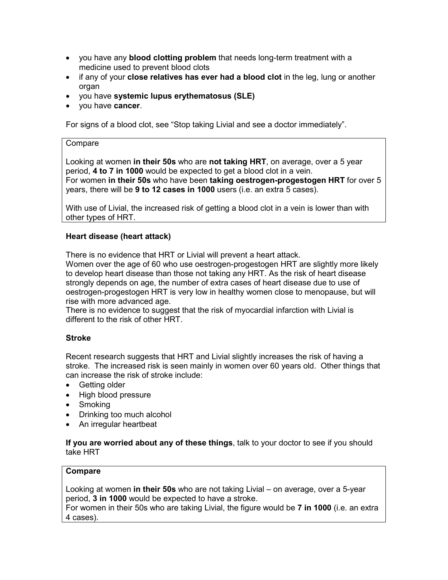- you have any **blood clotting problem** that needs long-term treatment with a medicine used to prevent blood clots
- if any of your **close relatives has ever had a blood clot** in the leg, lung or another organ
- you have **systemic lupus erythematosus (SLE)**
- you have **cancer**.

For signs of a blood clot, see "Stop taking Livial and see a doctor immediately".

#### **Compare**

Looking at women **in their 50s** who are **not taking HRT**, on average, over a 5 year period, **4 to 7 in 1000** would be expected to get a blood clot in a vein. For women **in their 50s** who have been **taking oestrogen-progestogen HRT** for over 5 years, there will be **9 to 12 cases in 1000** users (i.e. an extra 5 cases).

With use of Livial, the increased risk of getting a blood clot in a vein is lower than with other types of HRT.

### **Heart disease (heart attack)**

There is no evidence that HRT or Livial will prevent a heart attack.

Women over the age of 60 who use oestrogen-progestogen HRT are slightly more likely to develop heart disease than those not taking any HRT. As the risk of heart disease strongly depends on age, the number of extra cases of heart disease due to use of oestrogen-progestogen HRT is very low in healthy women close to menopause, but will rise with more advanced age.

There is no evidence to suggest that the risk of myocardial infarction with Livial is different to the risk of other HRT.

### **Stroke**

Recent research suggests that HRT and Livial slightly increases the risk of having a stroke. The increased risk is seen mainly in women over 60 years old. Other things that can increase the risk of stroke include:

- Getting older
- High blood pressure
- Smoking
- Drinking too much alcohol
- An irregular heartbeat

#### **If you are worried about any of these things**, talk to your doctor to see if you should take HRT

#### **Compare**

Looking at women **in their 50s** who are not taking Livial – on average, over a 5-year period, **3 in 1000** would be expected to have a stroke. For women in their 50s who are taking Livial, the figure would be **7 in 1000** (i.e. an extra

4 cases).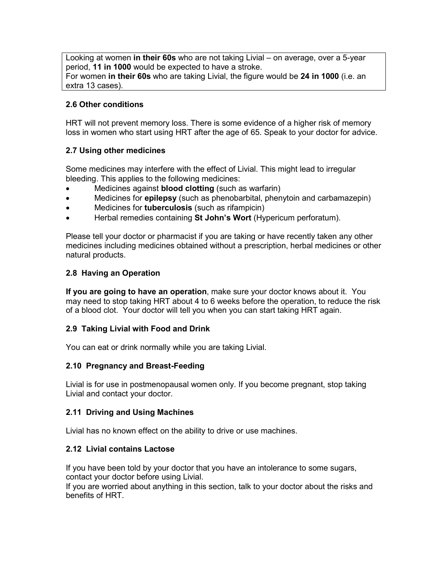Looking at women **in their 60s** who are not taking Livial – on average, over a 5-year period, **11 in 1000** would be expected to have a stroke. For women **in their 60s** who are taking Livial, the figure would be **24 in 1000** (i.e. an extra 13 cases).

## **2.6 Other conditions**

HRT will not prevent memory loss. There is some evidence of a higher risk of memory loss in women who start using HRT after the age of 65. Speak to your doctor for advice.

### **2.7 Using other medicines**

Some medicines may interfere with the effect of Livial. This might lead to irregular bleeding. This applies to the following medicines:

- Medicines against **blood clotting** (such as warfarin)
- Medicines for **epilepsy** (such as phenobarbital, phenytoin and carbamazepin)
- Medicines for **tuberculosis** (such as rifampicin)
- Herbal remedies containing **St John's Wort** (Hypericum perforatum).

Please tell your doctor or pharmacist if you are taking or have recently taken any other medicines including medicines obtained without a prescription, herbal medicines or other natural products.

## **2.8 Having an Operation**

**If you are going to have an operation**, make sure your doctor knows about it. You may need to stop taking HRT about 4 to 6 weeks before the operation, to reduce the risk of a blood clot. Your doctor will tell you when you can start taking HRT again.

## **2.9 Taking Livial with Food and Drink**

You can eat or drink normally while you are taking Livial.

### **2.10 Pregnancy and Breast-Feeding**

Livial is for use in postmenopausal women only. If you become pregnant, stop taking Livial and contact your doctor.

### **2.11 Driving and Using Machines**

Livial has no known effect on the ability to drive or use machines.

### **2.12 Livial contains Lactose**

If you have been told by your doctor that you have an intolerance to some sugars, contact your doctor before using Livial.

If you are worried about anything in this section, talk to your doctor about the risks and benefits of HRT.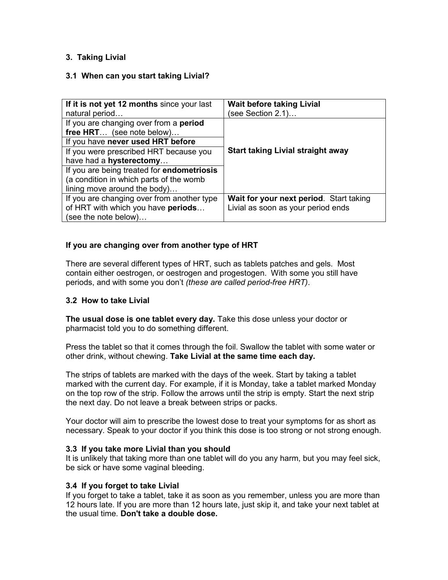## **3. Taking Livial**

### **3.1 When can you start taking Livial?**

| If it is not yet 12 months since your last<br>natural period                                                                                                                               | <b>Wait before taking Livial</b><br>(see Section 2.1)                         |
|--------------------------------------------------------------------------------------------------------------------------------------------------------------------------------------------|-------------------------------------------------------------------------------|
| If you are changing over from a period<br>free HRT (see note below)<br>If you have never used HRT before                                                                                   |                                                                               |
| If you were prescribed HRT because you<br>have had a hysterectomy<br>If you are being treated for endometriosis<br>(a condition in which parts of the womb<br>lining move around the body) | <b>Start taking Livial straight away</b>                                      |
| If you are changing over from another type<br>of HRT with which you have periods<br>(see the note below)                                                                                   | Wait for your next period. Start taking<br>Livial as soon as your period ends |

## **If you are changing over from another type of HRT**

There are several different types of HRT, such as tablets patches and gels. Most contain either oestrogen, or oestrogen and progestogen. With some you still have periods, and with some you don't *(these are called period-free HRT)*.

### **3.2 How to take Livial**

**The usual dose is one tablet every day.** Take this dose unless your doctor or pharmacist told you to do something different.

Press the tablet so that it comes through the foil. Swallow the tablet with some water or other drink, without chewing. **Take Livial at the same time each day.**

The strips of tablets are marked with the days of the week. Start by taking a tablet marked with the current day. For example, if it is Monday, take a tablet marked Monday on the top row of the strip. Follow the arrows until the strip is empty. Start the next strip the next day. Do not leave a break between strips or packs.

Your doctor will aim to prescribe the lowest dose to treat your symptoms for as short as necessary. Speak to your doctor if you think this dose is too strong or not strong enough.

### **3.3 If you take more Livial than you should**

It is unlikely that taking more than one tablet will do you any harm, but you may feel sick, be sick or have some vaginal bleeding.

### **3.4 If you forget to take Livial**

If you forget to take a tablet, take it as soon as you remember, unless you are more than 12 hours late. If you are more than 12 hours late, just skip it, and take your next tablet at the usual time. **Don't take a double dose.**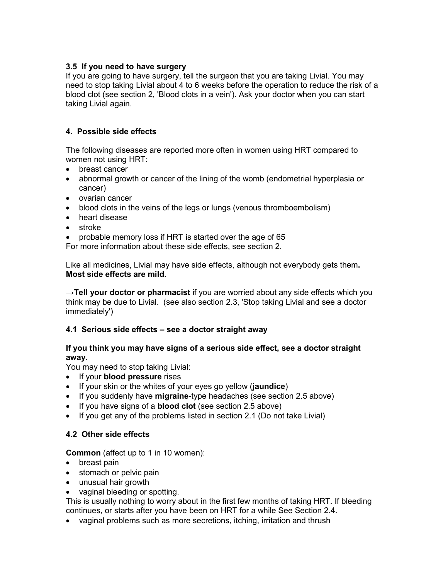## **3.5 If you need to have surgery**

If you are going to have surgery, tell the surgeon that you are taking Livial. You may need to stop taking Livial about 4 to 6 weeks before the operation to reduce the risk of a blood clot (see section 2, 'Blood clots in a vein'). Ask your doctor when you can start taking Livial again.

## **4. Possible side effects**

The following diseases are reported more often in women using HRT compared to women not using HRT:

- breast cancer
- abnormal growth or cancer of the lining of the womb (endometrial hyperplasia or cancer)
- ovarian cancer
- blood clots in the veins of the legs or lungs (venous thromboembolism)
- heart disease
- stroke

• probable memory loss if HRT is started over the age of 65

For more information about these side effects, see section 2.

Like all medicines, Livial may have side effects, although not everybody gets them**. Most side effects are mild.**

**→Tell your doctor or pharmacist** if you are worried about any side effects which you think may be due to Livial. (see also section 2.3, 'Stop taking Livial and see a doctor immediately')

## **4.1 Serious side effects – see a doctor straight away**

## **If you think you may have signs of a serious side effect, see a doctor straight away.**

You may need to stop taking Livial:

- If your **blood pressure** rises
- If your skin or the whites of your eyes go yellow (**jaundice**)
- If you suddenly have **migraine**-type headaches (see section 2.5 above)
- If you have signs of a **blood clot** (see section 2.5 above)
- If you get any of the problems listed in section 2.1 (Do not take Livial)

## **4.2 Other side effects**

**Common** (affect up to 1 in 10 women):

- breast pain
- stomach or pelvic pain
- unusual hair growth
- vaginal bleeding or spotting.

This is usually nothing to worry about in the first few months of taking HRT. If bleeding continues, or starts after you have been on HRT for a while See Section 2.4.

• vaginal problems such as more secretions, itching, irritation and thrush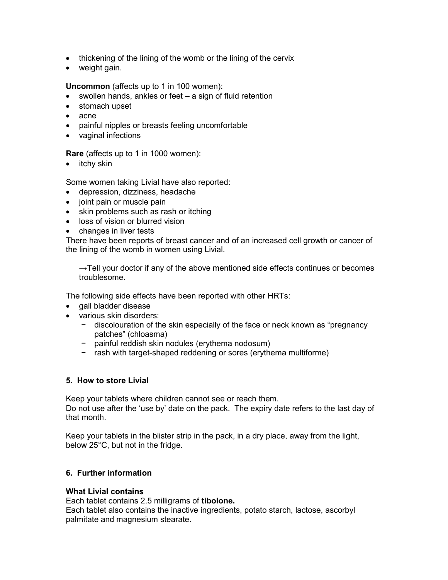- thickening of the lining of the womb or the lining of the cervix
- weight gain.

**Uncommon** (affects up to 1 in 100 women):

- swollen hands, ankles or feet a sign of fluid retention
- stomach upset
- acne
- painful nipples or breasts feeling uncomfortable
- vaginal infections

**Rare** (affects up to 1 in 1000 women):

• itchy skin

Some women taking Livial have also reported:

- depression, dizziness, headache
- joint pain or muscle pain
- skin problems such as rash or itching
- loss of vision or blurred vision
- changes in liver tests

There have been reports of breast cancer and of an increased cell growth or cancer of the lining of the womb in women using Livial.

 $\rightarrow$ Tell your doctor if any of the above mentioned side effects continues or becomes troublesome.

The following side effects have been reported with other HRTs:

- gall bladder disease
- various skin disorders:
	- − discolouration of the skin especially of the face or neck known as "pregnancy patches" (chloasma)
	- − painful reddish skin nodules (erythema nodosum)
	- − rash with target-shaped reddening or sores (erythema multiforme)

#### **5. How to store Livial**

Keep your tablets where children cannot see or reach them. Do not use after the 'use by' date on the pack. The expiry date refers to the last day of that month.

Keep your tablets in the blister strip in the pack, in a dry place, away from the light, below 25°C, but not in the fridge.

### **6. Further information**

#### **What Livial contains**

Each tablet contains 2.5 milligrams of **tibolone.**

Each tablet also contains the inactive ingredients, potato starch, lactose, ascorbyl palmitate and magnesium stearate.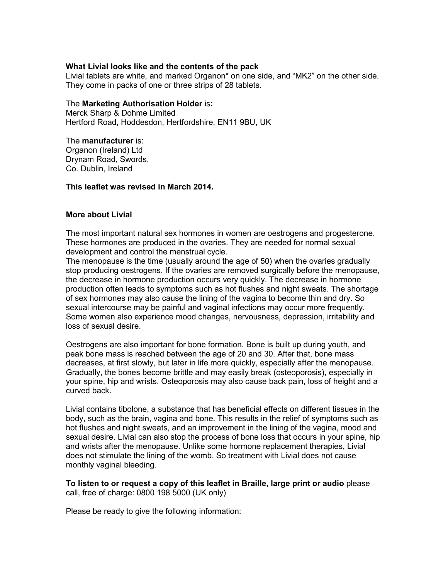### **What Livial looks like and the contents of the pack**

Livial tablets are white, and marked Organon\* on one side, and "MK2" on the other side. They come in packs of one or three strips of 28 tablets.

#### The **Marketing Authorisation Holder** is**:**

Merck Sharp & Dohme Limited Hertford Road, Hoddesdon, Hertfordshire, EN11 9BU, UK

#### The **manufacturer** is:

Organon (Ireland) Ltd Drynam Road, Swords, Co. Dublin, Ireland

#### **This leaflet was revised in March 2014.**

#### **More about Livial**

The most important natural sex hormones in women are oestrogens and progesterone. These hormones are produced in the ovaries. They are needed for normal sexual development and control the menstrual cycle.

The menopause is the time (usually around the age of 50) when the ovaries gradually stop producing oestrogens. If the ovaries are removed surgically before the menopause, the decrease in hormone production occurs very quickly. The decrease in hormone production often leads to symptoms such as hot flushes and night sweats. The shortage of sex hormones may also cause the lining of the vagina to become thin and dry. So sexual intercourse may be painful and vaginal infections may occur more frequently. Some women also experience mood changes, nervousness, depression, irritability and loss of sexual desire.

Oestrogens are also important for bone formation. Bone is built up during youth, and peak bone mass is reached between the age of 20 and 30. After that, bone mass decreases, at first slowly, but later in life more quickly, especially after the menopause. Gradually, the bones become brittle and may easily break (osteoporosis), especially in your spine, hip and wrists. Osteoporosis may also cause back pain, loss of height and a curved back.

Livial contains tibolone, a substance that has beneficial effects on different tissues in the body, such as the brain, vagina and bone. This results in the relief of symptoms such as hot flushes and night sweats, and an improvement in the lining of the vagina, mood and sexual desire. Livial can also stop the process of bone loss that occurs in your spine, hip and wrists after the menopause. Unlike some hormone replacement therapies, Livial does not stimulate the lining of the womb. So treatment with Livial does not cause monthly vaginal bleeding.

**To listen to or request a copy of this leaflet in Braille, large print or audio** please call, free of charge: 0800 198 5000 (UK only)

Please be ready to give the following information: